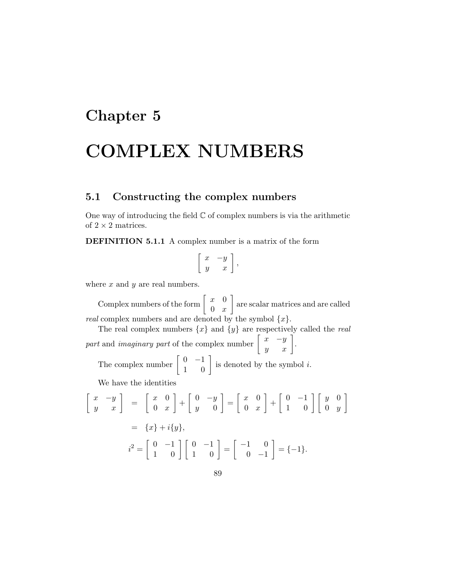## Chapter 5

# COMPLEX NUMBERS

## 5.1 Constructing the complex numbers

One way of introducing the field  $\mathbb C$  of complex numbers is via the arithmetic of  $2 \times 2$  matrices.

DEFINITION 5.1.1 A complex number is a matrix of the form

$$
\left[\begin{array}{cc} x & -y \\ y & x \end{array}\right],
$$

where  $x$  and  $y$  are real numbers.

Complex numbers of the form  $\begin{bmatrix} x & 0 \\ 0 & x \end{bmatrix}$  $0\quad x$  are scalar matrices and are called *real* complex numbers and are denoted by the symbol  $\{x\}$ .

The real complex numbers  $\{x\}$  and  $\{y\}$  are respectively called the *real* part and *imaginary part* of the complex number  $\begin{bmatrix} x & -y \\ y & x \end{bmatrix}$ .

The complex number  $\begin{bmatrix} 0 & -1 \\ 1 & 0 \end{bmatrix}$  is denoted by the symbol *i*.

We have the identities

$$
\begin{bmatrix} x & -y \ y & x \end{bmatrix} = \begin{bmatrix} x & 0 \ 0 & x \end{bmatrix} + \begin{bmatrix} 0 & -y \ y & 0 \end{bmatrix} = \begin{bmatrix} x & 0 \ 0 & x \end{bmatrix} + \begin{bmatrix} 0 & -1 \ 1 & 0 \end{bmatrix} \begin{bmatrix} y & 0 \ 0 & y \end{bmatrix}
$$

$$
= \{x\} + i\{y\},
$$

$$
i^2 = \begin{bmatrix} 0 & -1 \ 1 & 0 \end{bmatrix} \begin{bmatrix} 0 & -1 \ 1 & 0 \end{bmatrix} = \begin{bmatrix} -1 & 0 \ 0 & -1 \end{bmatrix} = \{-1\}.
$$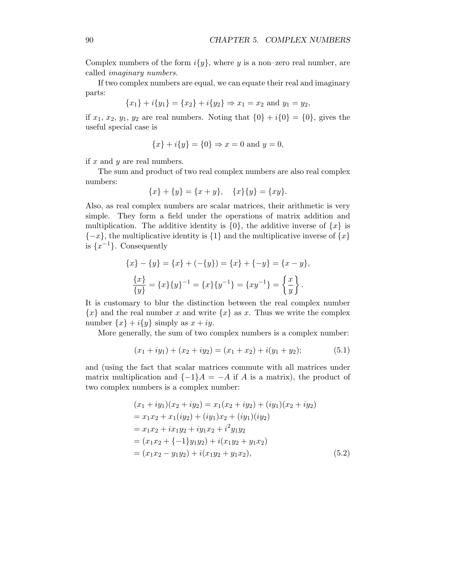Complex numbers of the form  $i\{y\}$ , where y is a non–zero real number, are called imaginary numbers.

If two complex numbers are equal, we can equate their real and imaginary parts:

$$
{x_1} + i{y_1} = {x_2} + i{y_2} \Rightarrow x_1 = x_2 \text{ and } y_1 = y_2,
$$

if  $x_1, x_2, y_1, y_2$  are real numbers. Noting that  $\{0\} + i\{0\} = \{0\}$ , gives the useful special case is

$$
{x} + i{y} = {0} \Rightarrow x = 0 \text{ and } y = 0,
$$

if  $x$  and  $y$  are real numbers.

The sum and product of two real complex numbers are also real complex numbers:

$$
\{x\} + \{y\} = \{x + y\}, \quad \{x\}\{y\} = \{xy\}.
$$

Also, as real complex numbers are scalar matrices, their arithmetic is very simple. They form a field under the operations of matrix addition and multiplication. The additive identity is  $\{0\}$ , the additive inverse of  $\{x\}$  is  ${-x}$ , the multiplicative identity is  ${1}$  and the multiplicative inverse of  ${x}$ is  $\{x^{-1}\}.$  Consequently

$$
\{x\} - \{y\} = \{x\} + (-\{y\}) = \{x\} + \{-y\} = \{x - y\},
$$

$$
\frac{\{x\}}{\{y\}} = \{x\}\{y\}^{-1} = \{x\}\{y^{-1}\} = \{xy^{-1}\} = \left\{\frac{x}{y}\right\}.
$$

It is customary to blur the distinction between the real complex number  ${x}$  and the real number x and write  ${x}$  as x. Thus we write the complex number  $\{x\}$  +  $i\{y\}$  simply as  $x + iy$ .

More generally, the sum of two complex numbers is a complex number:

$$
(x_1 + iy_1) + (x_2 + iy_2) = (x_1 + x_2) + i(y_1 + y_2); \tag{5.1}
$$

and (using the fact that scalar matrices commute with all matrices under matrix multiplication and  $\{-1\}A = -A$  if A is a matrix), the product of two complex numbers is a complex number:

$$
(x_1 + iy_1)(x_2 + iy_2) = x_1(x_2 + iy_2) + (iy_1)(x_2 + iy_2)
$$
  
=  $x_1x_2 + x_1(iy_2) + (iy_1)x_2 + (iy_1)(iy_2)$   
=  $x_1x_2 + ix_1y_2 + iy_1x_2 + i^2y_1y_2$   
=  $(x_1x_2 + \{-1\}y_1y_2) + i(x_1y_2 + y_1x_2)$   
=  $(x_1x_2 - y_1y_2) + i(x_1y_2 + y_1x_2)$ , (5.2)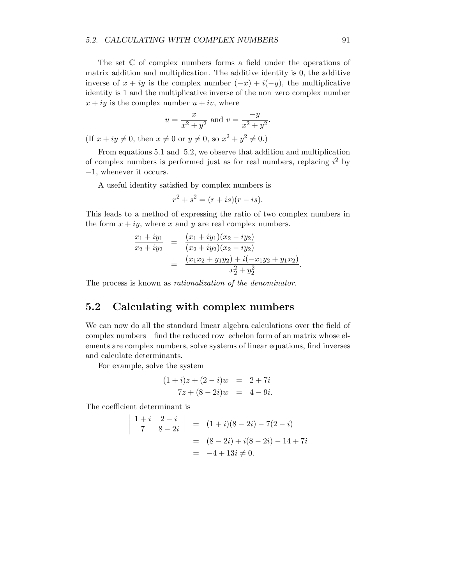The set C of complex numbers forms a field under the operations of matrix addition and multiplication. The additive identity is 0, the additive inverse of  $x + iy$  is the complex number  $(-x) + i(-y)$ , the multiplicative identity is 1 and the multiplicative inverse of the non–zero complex number  $x + iy$  is the complex number  $u + iv$ , where

$$
u = \frac{x}{x^2 + y^2}
$$
 and  $v = \frac{-y}{x^2 + y^2}$ .

(If  $x + iy \neq 0$ , then  $x \neq 0$  or  $y \neq 0$ , so  $x^2 + y^2 \neq 0$ .)

From equations 5.1 and 5.2, we observe that addition and multiplication of complex numbers is performed just as for real numbers, replacing  $i^2$  by −1, whenever it occurs.

A useful identity satisfied by complex numbers is

$$
r^2 + s^2 = (r + is)(r - is).
$$

This leads to a method of expressing the ratio of two complex numbers in the form  $x + iy$ , where x and y are real complex numbers.

$$
\frac{x_1 + iy_1}{x_2 + iy_2} = \frac{(x_1 + iy_1)(x_2 - iy_2)}{(x_2 + iy_2)(x_2 - iy_2)}
$$
  
= 
$$
\frac{(x_1x_2 + y_1y_2) + i(-x_1y_2 + y_1x_2)}{x_2^2 + y_2^2}.
$$

The process is known as rationalization of the denominator.

#### 5.2 Calculating with complex numbers

We can now do all the standard linear algebra calculations over the field of complex numbers – find the reduced row–echelon form of an matrix whose elements are complex numbers, solve systems of linear equations, find inverses and calculate determinants.

For example, solve the system

$$
(1+i)z + (2-i)w = 2+7i
$$
  

$$
7z + (8-2i)w = 4-9i.
$$

The coefficient determinant is

$$
\begin{vmatrix} 1+i & 2-i \\ 7 & 8-2i \end{vmatrix} = (1+i)(8-2i) - 7(2-i)
$$
  
=  $(8-2i) + i(8-2i) - 14 + 7i$   
=  $-4 + 13i \neq 0$ .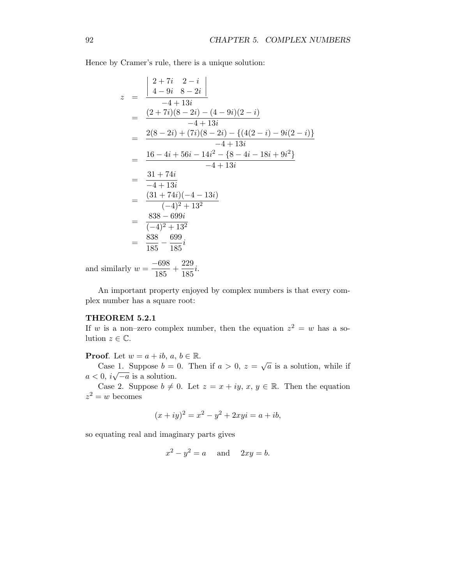Hence by Cramer's rule, there is a unique solution:

$$
z = \frac{\begin{vmatrix} 2+7i & 2-i \\ 4-9i & 8-2i \end{vmatrix}}{-4+13i}
$$
  
= 
$$
\frac{(2+7i)(8-2i) - (4-9i)(2-i)}{-4+13i}
$$
  
= 
$$
\frac{2(8-2i) + (7i)(8-2i) - \{(4(2-i) - 9i(2-i)\} - 4+13i)}{-4+13i}
$$
  
= 
$$
\frac{16-4i+56i-14i^2 - \{8-4i-18i+9i^2\}}{-4+13i}
$$
  
= 
$$
\frac{31+74i}{-4+13i}
$$
  
= 
$$
\frac{(31+74i)(-4-13i)}{(-4)^2+13^2}
$$
  
= 
$$
\frac{838-699i}{(-4)^2+13^2}
$$
  
= 
$$
\frac{838-699i}{185-185i}
$$
  
llly  $y = \frac{-698}{185} + \frac{229}{185}$ 

and similarly  $w = \frac{-698}{105}$  $\frac{-698}{185} + \frac{229}{185}$  $\frac{226}{185}i.$ 

An important property enjoyed by complex numbers is that every complex number has a square root:

#### THEOREM 5.2.1

If w is a non-zero complex number, then the equation  $z^2 = w$  has a solution  $z \in \mathbb{C}$ .

**Proof.** Let  $w = a + ib, a, b \in \mathbb{R}$ .

Case 1. Suppose  $b = 0$ . Then if  $a > 0$ ,  $z = \sqrt{a}$  is a solution, while if  $a < 0$ ,  $i\sqrt{-a}$  is a solution.

Case 2. Suppose  $b \neq 0$ . Let  $z = x + iy, x, y \in \mathbb{R}$ . Then the equation  $z^2 = w$  becomes

$$
(x+iy)^2 = x^2 - y^2 + 2xyi = a + ib,
$$

so equating real and imaginary parts gives

$$
x^2 - y^2 = a \quad \text{and} \quad 2xy = b.
$$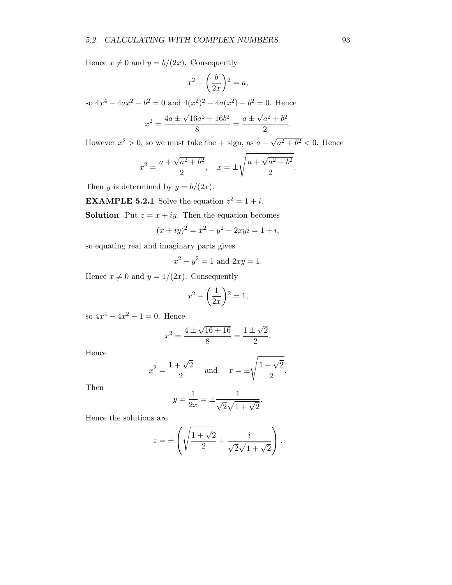Hence  $x \neq 0$  and  $y = b/(2x)$ . Consequently

$$
x^2 - \left(\frac{b}{2x}\right)^2 = a,
$$

so  $4x^4 - 4ax^2 - b^2 = 0$  and  $4(x^2)^2 - 4a(x^2) - b^2 = 0$ . Hence

$$
x^{2} = \frac{4a \pm \sqrt{16a^{2} + 16b^{2}}}{8} = \frac{a \pm \sqrt{a^{2} + b^{2}}}{2}
$$

However  $x^2 > 0$ , so we must take the  $+$  sign, as  $a - \sqrt{a^2 + b^2} < 0$ . Hence

$$
x^{2} = \frac{a + \sqrt{a^{2} + b^{2}}}{2}, \quad x = \pm \sqrt{\frac{a + \sqrt{a^{2} + b^{2}}}{2}}.
$$

Then y is determined by  $y = b/(2x)$ .

**EXAMPLE 5.2.1** Solve the equation  $z^2 = 1 + i$ .

**Solution**. Put  $z = x + iy$ . Then the equation becomes

$$
(x+iy)^2 = x^2 - y^2 + 2xyi = 1 + i,
$$

so equating real and imaginary parts gives

$$
x^2 - y^2 = 1
$$
 and  $2xy = 1$ .

Hence  $x \neq 0$  and  $y = 1/(2x)$ . Consequently

$$
x^2 - \left(\frac{1}{2x}\right)^2 = 1,
$$

so  $4x^4 - 4x^2 - 1 = 0$ . Hence

$$
x^{2} = \frac{4 \pm \sqrt{16 + 16}}{8} = \frac{1 \pm \sqrt{2}}{2}.
$$

Hence

$$
x^2 = \frac{1+\sqrt{2}}{2}
$$
 and  $x = \pm \sqrt{\frac{1+\sqrt{2}}{2}}$ .

Then

$$
y = \frac{1}{2x} = \pm \frac{1}{\sqrt{2}\sqrt{1 + \sqrt{2}}}.
$$

Hence the solutions are

$$
z = \pm \left( \sqrt{\frac{1+\sqrt{2}}{2}} + \frac{i}{\sqrt{2}\sqrt{1+\sqrt{2}}} \right).
$$

.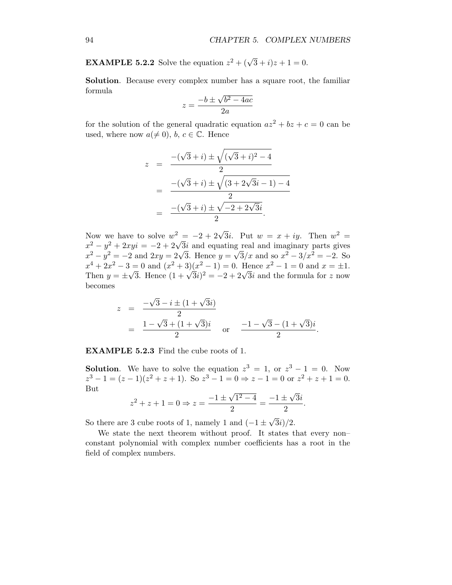**EXAMPLE 5.2.2** Solve the equation  $z^2 + (\sqrt{3} + i)z + 1 = 0$ .

Solution. Because every complex number has a square root, the familiar formula

$$
z = \frac{-b \pm \sqrt{b^2 - 4ac}}{2a}
$$

for the solution of the general quadratic equation  $az^2 + bz + c = 0$  can be used, where now  $a(\neq 0)$ ,  $b, c \in \mathbb{C}$ . Hence

$$
z = \frac{-(\sqrt{3} + i) \pm \sqrt{(\sqrt{3} + i)^2 - 4}}{2}
$$
  
= 
$$
\frac{-(\sqrt{3} + i) \pm \sqrt{(3 + 2\sqrt{3}i - 1) - 4}}{2}
$$
  
= 
$$
\frac{-(\sqrt{3} + i) \pm \sqrt{-2 + 2\sqrt{3}i}}{2}.
$$

Now we have to solve  $w^2 = -2 + 2\sqrt{3}i$ . Put  $w = x + iy$ . Then  $w^2 =$  $x^2 - y^2 + 2xyi = -2 + 2\sqrt{3}i$  and equating real and imaginary parts gives  $x^2 - y^2 = -2$  and  $2xy = 2\sqrt{3}$ . Hence  $y = \sqrt{3}/x$  and so  $x^2 - 3/x^2 = -2$ . So  $x^4 + 2x^2 - 3 = 0$  and  $(x^2 + 3)(x^2 - 1) = 0$ . Hence  $x^2 - 1 = 0$  and  $x = \pm 1$ . Then  $y = \pm \sqrt{3}$ . Hence  $(1 + \sqrt{3}i)^2 = -2 + 2\sqrt{3}i$  and the formula for z now becomes

$$
z = \frac{-\sqrt{3} - i \pm (1 + \sqrt{3}i)}{2}
$$
  
=  $\frac{1 - \sqrt{3} + (1 + \sqrt{3})i}{2}$  or  $\frac{-1 - \sqrt{3} - (1 + \sqrt{3})i}{2}$ .

EXAMPLE 5.2.3 Find the cube roots of 1.

**Solution.** We have to solve the equation  $z^3 = 1$ , or  $z^3 - 1 = 0$ . Now  $z^3 - 1 = (z - 1)(z^2 + z + 1)$ . So  $z^3 - 1 = 0 \Rightarrow z - 1 = 0$  or  $z^2 + z + 1 = 0$ . But

$$
z^{2} + z + 1 = 0 \Rightarrow z = \frac{-1 \pm \sqrt{1^{2} - 4}}{2} = \frac{-1 \pm \sqrt{3}i}{2}.
$$

So there are 3 cube roots of 1, namely 1 and  $(-1 \pm \sqrt{3}i)/2$ .

We state the next theorem without proof. It states that every non– constant polynomial with complex number coefficients has a root in the field of complex numbers.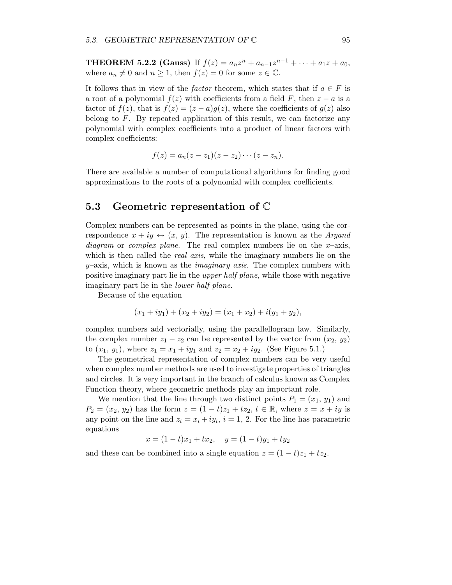**THEOREM 5.2.2 (Gauss)** If  $f(z) = a_n z^n + a_{n-1} z^{n-1} + \cdots + a_1 z + a_0$ , where  $a_n \neq 0$  and  $n \geq 1$ , then  $f(z) = 0$  for some  $z \in \mathbb{C}$ .

It follows that in view of the *factor* theorem, which states that if  $a \in F$  is a root of a polynomial  $f(z)$  with coefficients from a field F, then  $z - a$  is a factor of  $f(z)$ , that is  $f(z) = (z - a)g(z)$ , where the coefficients of  $g(z)$  also belong to  $F$ . By repeated application of this result, we can factorize any polynomial with complex coefficients into a product of linear factors with complex coefficients:

$$
f(z)=a_n(z-z_1)(z-z_2)\cdots(z-z_n).
$$

There are available a number of computational algorithms for finding good approximations to the roots of a polynomial with complex coefficients.

#### 5.3 Geometric representation of C

Complex numbers can be represented as points in the plane, using the correspondence  $x + iy \leftrightarrow (x, y)$ . The representation is known as the *Argand* diagram or complex plane. The real complex numbers lie on the  $x$ -axis, which is then called the *real axis*, while the imaginary numbers lie on the  $y$ –axis, which is known as the *imaginary axis*. The complex numbers with positive imaginary part lie in the upper half plane, while those with negative imaginary part lie in the lower half plane.

Because of the equation

$$
(x_1 + iy_1) + (x_2 + iy_2) = (x_1 + x_2) + i(y_1 + y_2),
$$

complex numbers add vectorially, using the parallellogram law. Similarly, the complex number  $z_1 - z_2$  can be represented by the vector from  $(x_2, y_2)$ to  $(x_1, y_1)$ , where  $z_1 = x_1 + iy_1$  and  $z_2 = x_2 + iy_2$ . (See Figure 5.1.)

The geometrical representation of complex numbers can be very useful when complex number methods are used to investigate properties of triangles and circles. It is very important in the branch of calculus known as Complex Function theory, where geometric methods play an important role.

We mention that the line through two distinct points  $P_1 = (x_1, y_1)$  and  $P_2 = (x_2, y_2)$  has the form  $z = (1 - t)z_1 + tz_2, t \in \mathbb{R}$ , where  $z = x + iy$  is any point on the line and  $z_i = x_i + iy_i$ ,  $i = 1, 2$ . For the line has parametric equations

$$
x = (1 - t)x_1 + tx_2, \quad y = (1 - t)y_1 + ty_2
$$

and these can be combined into a single equation  $z = (1-t)z_1 + tz_2$ .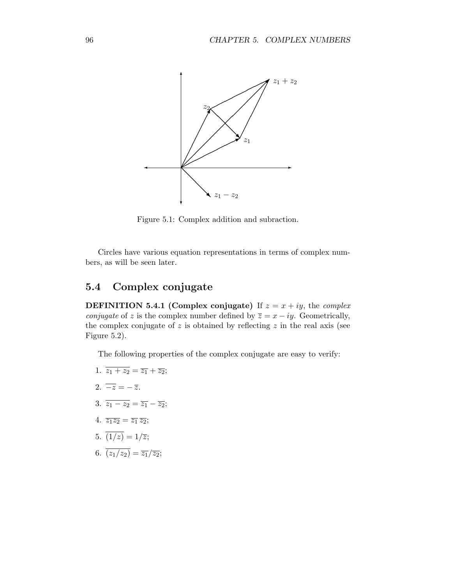

Figure 5.1: Complex addition and subraction.

Circles have various equation representations in terms of complex numbers, as will be seen later.

## 5.4 Complex conjugate

**DEFINITION 5.4.1 (Complex conjugate)** If  $z = x + iy$ , the *complex conjugate* of z is the complex number defined by  $\overline{z} = x - iy$ . Geometrically, the complex conjugate of  $z$  is obtained by reflecting  $z$  in the real axis (see Figure 5.2).

The following properties of the complex conjugate are easy to verify:

- 1.  $\overline{z_1 + z_2} = \overline{z_1} + \overline{z_2};$
- 2.  $\overline{-z} = -\overline{z}$ .
- 3.  $\overline{z_1 z_2} = \overline{z_1} \overline{z_2};$
- 4.  $\overline{z_1z_2} = \overline{z_1}\,\overline{z_2};$
- 5.  $\overline{(1/z)} = 1/\overline{z};$
- 6.  $\overline{(z_1/z_2)} = \overline{z_1}/\overline{z_2};$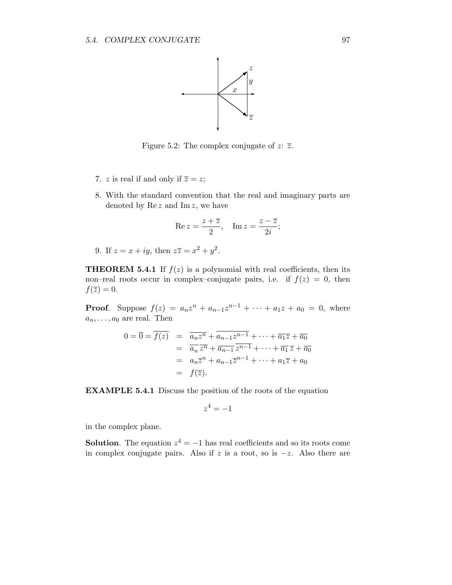

Figure 5.2: The complex conjugate of  $z: \overline{z}$ .

- 7. z is real if and only if  $\overline{z} = z$ ;
- 8. With the standard convention that the real and imaginary parts are denoted by  $\text{Re } z$  and  $\text{Im } z$ , we have

$$
\operatorname{Re} z = \frac{z + \overline{z}}{2}, \quad \operatorname{Im} z = \frac{z - \overline{z}}{2i};
$$

9. If  $z = x + iy$ , then  $z\overline{z} = x^2 + y^2$ .

**THEOREM 5.4.1** If  $f(z)$  is a polynomial with real coefficients, then its non–real roots occur in complex–conjugate pairs, i.e. if  $f(z) = 0$ , then  $f(\overline{z})=0.$ 

**Proof.** Suppose  $f(z) = a_n z^n + a_{n-1} z^{n-1} + \cdots + a_1 z + a_0 = 0$ , where  $a_n, \ldots, a_0$  are real. Then

$$
0 = \overline{0} = \overline{f(z)} = \overline{a_n z^n} + \overline{a_{n-1} z^{n-1}} + \dots + \overline{a_1 z} + \overline{a_0}
$$
  
= 
$$
\overline{a_n} \overline{z^n} + \overline{a_{n-1}} \overline{z^{n-1}} + \dots + \overline{a_1} \overline{z} + \overline{a_0}
$$
  
= 
$$
a_n \overline{z}^n + a_{n-1} \overline{z}^{n-1} + \dots + a_1 \overline{z} + a_0
$$
  
= 
$$
f(\overline{z}).
$$

EXAMPLE 5.4.1 Discuss the position of the roots of the equation

$$
z^4 = -1
$$

in the complex plane.

**Solution**. The equation  $z^4 = -1$  has real coefficients and so its roots come in complex conjugate pairs. Also if z is a root, so is  $-z$ . Also there are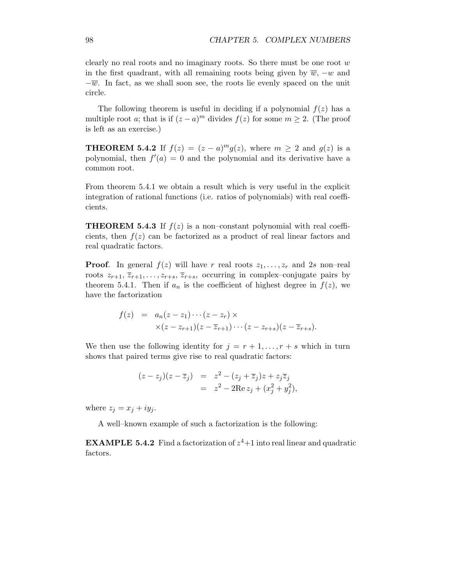clearly no real roots and no imaginary roots. So there must be one root  $w$ in the first quadrant, with all remaining roots being given by  $\overline{w}$ ,  $-w$  and  $-\overline{w}$ . In fact, as we shall soon see, the roots lie evenly spaced on the unit circle.

The following theorem is useful in deciding if a polynomial  $f(z)$  has a multiple root a; that is if  $(z - a)^m$  divides  $f(z)$  for some  $m \ge 2$ . (The proof is left as an exercise.)

**THEOREM 5.4.2** If  $f(z) = (z - a)^m g(z)$ , where  $m \ge 2$  and  $g(z)$  is a polynomial, then  $f'(a) = 0$  and the polynomial and its derivative have a common root.

From theorem 5.4.1 we obtain a result which is very useful in the explicit integration of rational functions (i.e. ratios of polynomials) with real coefficients.

**THEOREM 5.4.3** If  $f(z)$  is a non–constant polynomial with real coefficients, then  $f(z)$  can be factorized as a product of real linear factors and real quadratic factors.

**Proof.** In general  $f(z)$  will have r real roots  $z_1, \ldots, z_r$  and 2s non-real roots  $z_{r+1}, \overline{z}_{r+1}, \ldots, z_{r+s}, \overline{z}_{r+s}$ , occurring in complex-conjugate pairs by theorem 5.4.1. Then if  $a_n$  is the coefficient of highest degree in  $f(z)$ , we have the factorization

$$
f(z) = a_n(z-z_1)\cdots(z-z_r) \times \times (z-z_{r+1})(z-\overline{z}_{r+1})\cdots(z-z_{r+s})(z-\overline{z}_{r+s}).
$$

We then use the following identity for  $j = r + 1, \ldots, r + s$  which in turn shows that paired terms give rise to real quadratic factors:

$$
(z-z_j)(z-\overline{z}_j) = z^2 - (z_j + \overline{z}_j)z + z_j\overline{z}_j
$$
  
= 
$$
z^2 - 2\operatorname{Re} z_j + (x_j^2 + y_j^2),
$$

where  $z_i = x_i + iy_i$ .

A well–known example of such a factorization is the following:

**EXAMPLE 5.4.2** Find a factorization of  $z^4+1$  into real linear and quadratic factors.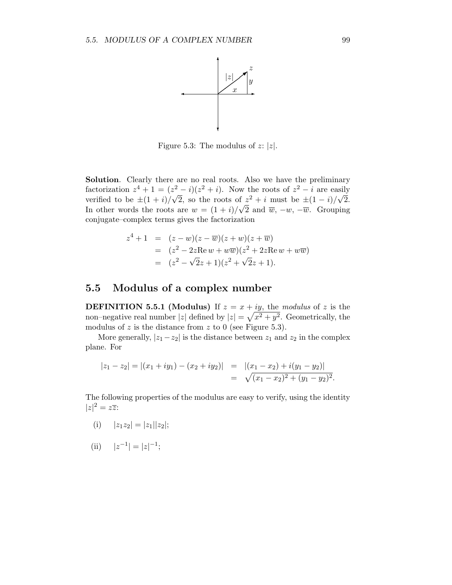

Figure 5.3: The modulus of  $z: |z|$ .

Solution. Clearly there are no real roots. Also we have the preliminary factorization  $z^4 + 1 = (z^2 - i)(z^2 + i)$ . Now the roots of  $z^2 - i$  are easily verified to be  $\pm (1 + i)/\sqrt{2}$ , so the roots of  $z^2 + i$  must be  $\pm (1 - i)/\sqrt{2}$ . In other words the roots are  $w = (1 + i)/\sqrt{2}$  and  $\overline{w}, -w, -\overline{w}$ . Grouping conjugate–complex terms gives the factorization

$$
z^{4} + 1 = (z - w)(z - \overline{w})(z + w)(z + \overline{w})
$$
  
=  $(z^{2} - 2z \text{Re } w + w \overline{w})(z^{2} + 2z \text{Re } w + w \overline{w})$   
=  $(z^{2} - \sqrt{2}z + 1)(z^{2} + \sqrt{2}z + 1).$ 

## 5.5 Modulus of a complex number

**DEFINITION 5.5.1 (Modulus)** If  $z = x + iy$ , the modulus of z is the non–negative real number |z| defined by  $|z| = \sqrt{x^2 + y^2}$ . Geometrically, the modulus of  $z$  is the distance from  $z$  to 0 (see Figure 5.3).

More generally,  $|z_1 - z_2|$  is the distance between  $z_1$  and  $z_2$  in the complex plane. For

$$
|z_1 - z_2| = |(x_1 + iy_1) - (x_2 + iy_2)| = |(x_1 - x_2) + i(y_1 - y_2)|
$$
  
=  $\sqrt{(x_1 - x_2)^2 + (y_1 - y_2)^2}.$ 

The following properties of the modulus are easy to verify, using the identity  $|z|^2 = z\overline{z}$ :

- (i)  $|z_1z_2| = |z_1||z_2|;$
- (ii)  $|z^{-1}| = |z|^{-1};$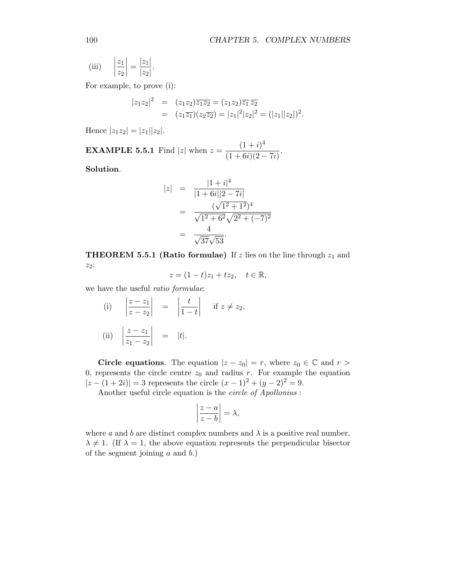(iii) 
$$
\left|\frac{z_1}{z_2}\right| = \frac{|z_1|}{|z_2|}.
$$

For example, to prove (i):

$$
\begin{array}{rcl}\n|z_1 z_2|^2 & = & (z_1 z_2) \overline{z_1 z_2} = (z_1 z_2) \overline{z_1} \, \overline{z_2} \\
& = & (z_1 \overline{z_1})(z_2 \overline{z_2}) = |z_1|^2 |z_2|^2 = (|z_1||z_2|)^2.\n\end{array}
$$

Hence  $|z_1z_2| = |z_1||z_2|$ .

**EXAMPLE 5.5.1** Find |z| when  $z = \frac{(1+i)^4}{(1+6i)(2-i)}$  $\frac{(1+i)}{(1+6i)(2-7i)}$ .

Solution.

$$
|z| = \frac{|1+i|^4}{|1+6i||2-7i|}
$$
  
= 
$$
\frac{(\sqrt{1^2+1^2})^4}{\sqrt{1^2+6^2}\sqrt{2^2+(-7)^2}}
$$
  
= 
$$
\frac{4}{\sqrt{37}\sqrt{53}}.
$$

**THEOREM 5.5.1 (Ratio formulae)** If z lies on the line through  $z_1$  and z2:

$$
z = (1-t)z_1 + tz_2, \quad t \in \mathbb{R},
$$

we have the useful ratio formulae:

(i) 
$$
\left| \frac{z - z_1}{z - z_2} \right| = \left| \frac{t}{1 - t} \right|
$$
 if  $z \neq z_2$ ,  
\n(ii)  $\left| \frac{z - z_1}{z_1 - z_2} \right| = |t|$ .

Circle equations. The equation  $|z - z_0| = r$ , where  $z_0 \in \mathbb{C}$  and  $r >$ 0, represents the circle centre  $z_0$  and radius r. For example the equation  $|z - (1 + 2i)| = 3$  represents the circle  $(x - 1)^2 + (y - 2)^2 = 9$ .

Another useful circle equation is the circle of Apollonius :

$$
\left|\frac{z-a}{z-b}\right|=\lambda,
$$

where a and b are distinct complex numbers and  $\lambda$  is a positive real number,  $\lambda \neq 1$ . (If  $\lambda = 1$ , the above equation represents the perpendicular bisector of the segment joining  $a$  and  $b$ .)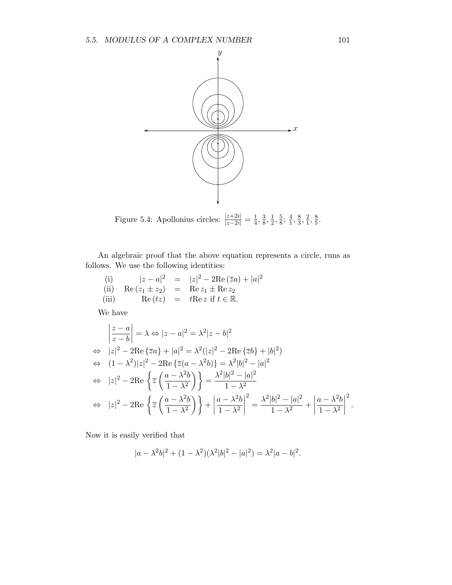

Figure 5.4: Apollonius circles:  $\frac{|z+2i|}{|z-2i|} = \frac{1}{4}$  $\frac{1}{4}, \frac{3}{8}$  $\frac{3}{8}, \frac{1}{2}$  $\frac{1}{2}, \frac{5}{8}$  $\frac{5}{8}$ ;  $\frac{4}{1}$  $\frac{4}{1}, \frac{8}{3}$  $\frac{8}{3}, \frac{2}{1}$  $\frac{2}{1}, \frac{8}{5}$  $\frac{8}{5}$ .

An algebraic proof that the above equation represents a circle, runs as follows. We use the following identities:

(i) 
$$
|z - a|^2 = |z|^2 - 2\text{Re}(\overline{z}a) + |a|^2
$$
  
\n(ii)  $\text{Re}(z_1 \pm z_2) = \text{Re } z_1 \pm \text{Re } z_2$   
\n(iii)  $\text{Re}(tz) = t\text{Re } z \text{ if } t \in \mathbb{R}$ .

We have

$$
\begin{aligned}\n\left|\frac{z-a}{z-b}\right| &= \lambda \Leftrightarrow |z-a|^2 = \lambda^2 |z-b|^2 \\
&\Leftrightarrow |z|^2 - 2\operatorname{Re}\left\{\overline{z}a\right\} + |a|^2 = \lambda^2 (|z|^2 - 2\operatorname{Re}\left\{\overline{z}b\right\} + |b|^2) \\
&\Leftrightarrow (1-\lambda^2)|z|^2 - 2\operatorname{Re}\left\{\overline{z}(a-\lambda^2b)\right\} = \lambda^2 |b|^2 - |a|^2 \\
&\Leftrightarrow |z|^2 - 2\operatorname{Re}\left\{\overline{z}\left(\frac{a-\lambda^2b}{1-\lambda^2}\right)\right\} = \frac{\lambda^2 |b|^2 - |a|^2}{1-\lambda^2} \\
&\Leftrightarrow |z|^2 - 2\operatorname{Re}\left\{\overline{z}\left(\frac{a-\lambda^2b}{1-\lambda^2}\right)\right\} + \left|\frac{a-\lambda^2b}{1-\lambda^2}\right|^2 = \frac{\lambda^2 |b|^2 - |a|^2}{1-\lambda^2} + \left|\frac{a-\lambda^2b}{1-\lambda^2}\right|^2.\n\end{aligned}
$$

Now it is easily verified that

$$
|a - \lambda^2 b|^2 + (1 - \lambda^2)(\lambda^2 |b|^2 - |a|^2) = \lambda^2 |a - b|^2.
$$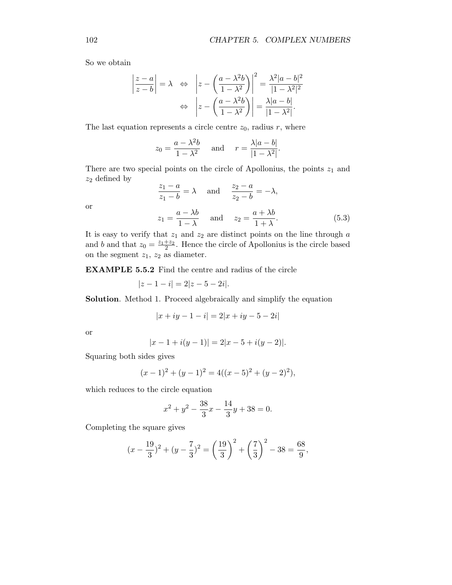So we obtain

$$
\left|\frac{z-a}{z-b}\right| = \lambda \quad \Leftrightarrow \quad \left|z - \left(\frac{a-\lambda^2b}{1-\lambda^2}\right)\right|^2 = \frac{\lambda^2|a-b|^2}{|1-\lambda^2|^2}
$$

$$
\Leftrightarrow \quad \left|z - \left(\frac{a-\lambda^2b}{1-\lambda^2}\right)\right| = \frac{\lambda|a-b|}{|1-\lambda^2|}.
$$

The last equation represents a circle centre  $z_0$ , radius r, where

$$
z_0 = \frac{a - \lambda^2 b}{1 - \lambda^2} \quad \text{and} \quad r = \frac{\lambda |a - b|}{|1 - \lambda^2|}.
$$

There are two special points on the circle of Apollonius, the points  $z_1$  and  $z_2$  defined by

$$
\frac{z_1 - a}{z_1 - b} = \lambda \quad \text{and} \quad \frac{z_2 - a}{z_2 - b} = -\lambda,
$$
  

$$
z_1 = \frac{a - \lambda b}{1 - \lambda} \quad \text{and} \quad z_2 = \frac{a + \lambda b}{1 + \lambda}.
$$
 (5.3)

or

It is easy to verify that  $z_1$  and  $z_2$  are distinct points on the line through  $a$ and b and that  $z_0 = \frac{z_1+z_2}{2}$ . Hence the circle of Apollonius is the circle based on the segment  $z_1$ ,  $z_2$  as diameter.

EXAMPLE 5.5.2 Find the centre and radius of the circle

$$
|z - 1 - i| = 2|z - 5 - 2i|.
$$

Solution. Method 1. Proceed algebraically and simplify the equation

$$
|x + iy - 1 - i| = 2|x + iy - 5 - 2i|
$$

or

$$
|x - 1 + i(y - 1)| = 2|x - 5 + i(y - 2)|.
$$

Squaring both sides gives

$$
(x-1)2 + (y-1)2 = 4((x-5)2 + (y-2)2),
$$

which reduces to the circle equation

$$
x^{2} + y^{2} - \frac{38}{3}x - \frac{14}{3}y + 38 = 0.
$$

Completing the square gives

$$
(x - \frac{19}{3})^2 + (y - \frac{7}{3})^2 = \left(\frac{19}{3}\right)^2 + \left(\frac{7}{3}\right)^2 - 38 = \frac{68}{9},
$$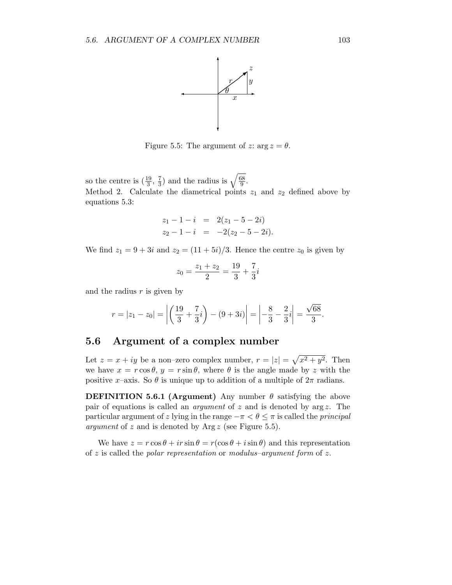

Figure 5.5: The argument of z:  $\arg z = \theta$ .

so the centre is  $\left(\frac{19}{3}, \frac{7}{3}\right)$  $(\frac{7}{3})$  and the radius is  $\sqrt{\frac{68}{9}}$  $\frac{58}{9}$ . Method 2. Calculate the diametrical points  $z_1$  and  $z_2$  defined above by equations 5.3:

$$
z_1 - 1 - i = 2(z_1 - 5 - 2i)
$$
  
\n
$$
z_2 - 1 - i = -2(z_2 - 5 - 2i).
$$

We find  $z_1 = 9 + 3i$  and  $z_2 = (11 + 5i)/3$ . Hence the centre  $z_0$  is given by

$$
z_0 = \frac{z_1 + z_2}{2} = \frac{19}{3} + \frac{7}{3}i
$$

and the radius  $r$  is given by

$$
r = |z_1 - z_0| = \left| \left( \frac{19}{3} + \frac{7}{3}i \right) - (9 + 3i) \right| = \left| -\frac{8}{3} - \frac{2}{3}i \right| = \frac{\sqrt{68}}{3}.
$$

## 5.6 Argument of a complex number

Let  $z = x + iy$  be a non-zero complex number,  $r = |z| = \sqrt{x^2 + y^2}$ . Then we have  $x = r \cos \theta$ ,  $y = r \sin \theta$ , where  $\theta$  is the angle made by z with the positive x–axis. So  $\theta$  is unique up to addition of a multiple of  $2\pi$  radians.

**DEFINITION 5.6.1 (Argument)** Any number  $\theta$  satisfying the above pair of equations is called an *argument* of z and is denoted by  $\arg z$ . The particular argument of z lying in the range  $-\pi < \theta \leq \pi$  is called the *principal argument* of z and is denoted by  $\text{Arg } z$  (see Figure 5.5).

We have  $z = r \cos \theta + ir \sin \theta = r(\cos \theta + i \sin \theta)$  and this representation of z is called the polar representation or modulus–argument form of z.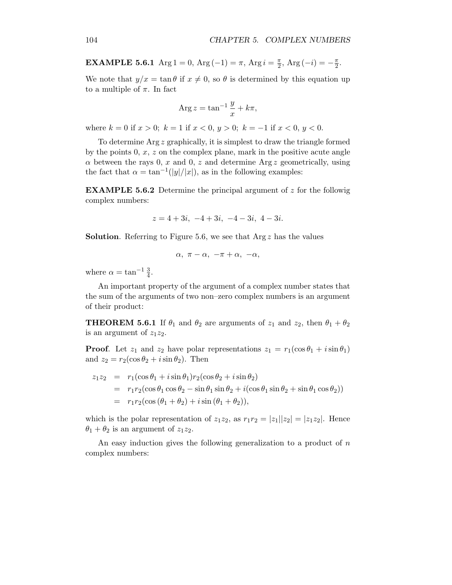**EXAMPLE 5.6.1** Arg 1 = 0, Arg (-1) =  $\pi$ , Arg  $i = \frac{\pi}{2}$  $\frac{\pi}{2}$ , Arg  $(-i) = -\frac{\pi}{2}$  $\frac{\pi}{2}$ .

We note that  $y/x = \tan \theta$  if  $x \neq 0$ , so  $\theta$  is determined by this equation up to a multiple of  $\pi$ . In fact

$$
Arg z = \tan^{-1} \frac{y}{x} + k\pi,
$$

where  $k = 0$  if  $x > 0$ ;  $k = 1$  if  $x < 0$ ,  $y > 0$ ;  $k = -1$  if  $x < 0$ ,  $y < 0$ .

To determine Arg z graphically, it is simplest to draw the triangle formed by the points  $0, x, z$  on the complex plane, mark in the positive acute angle  $\alpha$  between the rays 0, x and 0, z and determine Arg z geometrically, using the fact that  $\alpha = \tan^{-1}(|y|/|x|)$ , as in the following examples:

**EXAMPLE 5.6.2** Determine the principal argument of  $z$  for the followig complex numbers:

$$
z = 4 + 3i, -4 + 3i, -4 - 3i, 4 - 3i.
$$

**Solution.** Referring to Figure 5.6, we see that  $Arg z$  has the values

$$
\alpha,\ \pi-\alpha,\ -\pi+\alpha,\ -\alpha,
$$

where  $\alpha = \tan^{-1} \frac{3}{4}$ .

An important property of the argument of a complex number states that the sum of the arguments of two non–zero complex numbers is an argument of their product:

**THEOREM 5.6.1** If  $\theta_1$  and  $\theta_2$  are arguments of  $z_1$  and  $z_2$ , then  $\theta_1 + \theta_2$ is an argument of  $z_1z_2$ .

**Proof.** Let  $z_1$  and  $z_2$  have polar representations  $z_1 = r_1(\cos \theta_1 + i \sin \theta_1)$ and  $z_2 = r_2(\cos \theta_2 + i \sin \theta_2)$ . Then

$$
z_1 z_2 = r_1(\cos \theta_1 + i \sin \theta_1) r_2(\cos \theta_2 + i \sin \theta_2)
$$
  
=  $r_1 r_2(\cos \theta_1 \cos \theta_2 - \sin \theta_1 \sin \theta_2 + i(\cos \theta_1 \sin \theta_2 + \sin \theta_1 \cos \theta_2))$   
=  $r_1 r_2(\cos (\theta_1 + \theta_2) + i \sin (\theta_1 + \theta_2)),$ 

which is the polar representation of  $z_1z_2$ , as  $r_1r_2 = |z_1||z_2| = |z_1z_2|$ . Hence  $\theta_1 + \theta_2$  is an argument of  $z_1z_2$ .

An easy induction gives the following generalization to a product of  $n$ complex numbers: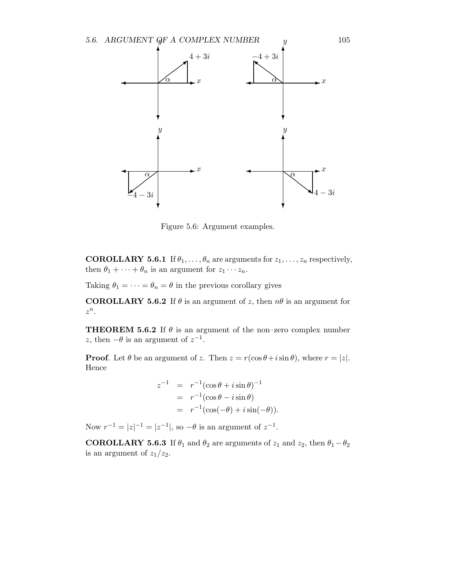

Figure 5.6: Argument examples.

**COROLLARY 5.6.1** If  $\theta_1, \ldots, \theta_n$  are arguments for  $z_1, \ldots, z_n$  respectively, then  $\theta_1 + \cdots + \theta_n$  is an argument for  $z_1 \cdots z_n$ .

Taking  $\theta_1 = \cdots = \theta_n = \theta$  in the previous corollary gives

**COROLLARY 5.6.2** If  $\theta$  is an argument of z, then  $n\theta$  is an argument for  $z^n$ .

**THEOREM 5.6.2** If  $\theta$  is an argument of the non–zero complex number z, then  $-\theta$  is an argument of  $z^{-1}$ .

**Proof.** Let  $\theta$  be an argument of z. Then  $z = r(\cos \theta + i \sin \theta)$ , where  $r = |z|$ . Hence

$$
z^{-1} = r^{-1}(\cos\theta + i\sin\theta)^{-1}
$$
  
=  $r^{-1}(\cos\theta - i\sin\theta)$   
=  $r^{-1}(\cos(-\theta) + i\sin(-\theta)).$ 

Now  $r^{-1} = |z|^{-1} = |z^{-1}|$ , so  $-\theta$  is an argument of  $z^{-1}$ .

**COROLLARY 5.6.3** If  $\theta_1$  and  $\theta_2$  are arguments of  $z_1$  and  $z_2$ , then  $\theta_1 - \theta_2$ is an argument of  $z_1/z_2$ .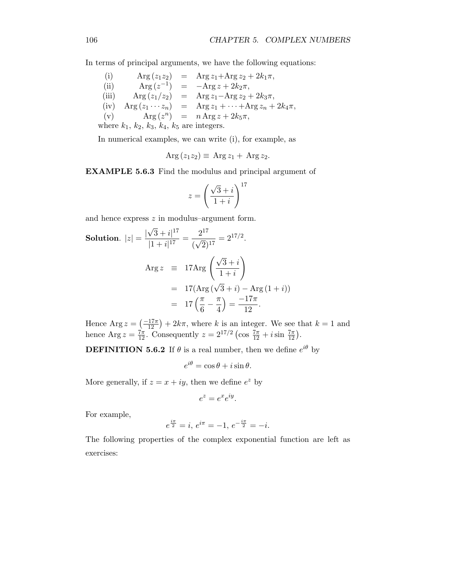In terms of principal arguments, we have the following equations:

(i) 
$$
\text{Arg}(z_1z_2) = \text{Arg } z_1 + \text{Arg } z_2 + 2k_1\pi,
$$
  
\n(ii)  $\text{Arg}(z^{-1}) = -\text{Arg } z + 2k_2\pi,$   
\n(iii)  $\text{Arg}(z_1/z_2) = \text{Arg } z_1 - \text{Arg } z_2 + 2k_3\pi,$   
\n(iv)  $\text{Arg}(z_1 \cdots z_n) = \text{Arg } z_1 + \cdots + \text{Arg } z_n + 2k_4\pi,$   
\n(v)  $\text{Arg}(z^n) = n \text{Arg } z + 2k_5\pi,$   
\nwhere  $k_1, k_2, k_3, k_4, k_5$  are integers.

In numerical examples, we can write (i), for example, as

$$
Arg(z_1z_2) \equiv Arg z_1 + Arg z_2.
$$

EXAMPLE 5.6.3 Find the modulus and principal argument of

$$
z = \left(\frac{\sqrt{3} + i}{1 + i}\right)^{17}
$$

and hence express  $z$  in modulus–argument form.

Solution. 
$$
|z| = \frac{|\sqrt{3} + i|^{17}}{|1 + i|^{17}} = \frac{2^{17}}{(\sqrt{2})^{17}} = 2^{17/2}.
$$
  
\n
$$
\text{Arg } z \equiv 17 \text{Arg} \left( \frac{\sqrt{3} + i}{1 + i} \right)
$$
\n
$$
= 17 (\text{Arg } (\sqrt{3} + i) - \text{Arg } (1 + i))
$$
\n
$$
= 17 \left( \frac{\pi}{6} - \frac{\pi}{4} \right) = \frac{-17\pi}{12}.
$$

Hence Arg  $z = \left(\frac{-17\pi}{12}\right) + 2k\pi$ , where k is an integer. We see that  $k = 1$  and hence  $\text{Arg } z = \frac{7\pi}{12}$ . Consequently  $z = 2^{17/2} \left( \cos \frac{7\pi}{12} + i \sin \frac{7\pi}{12} \right)$ .

**DEFINITION 5.6.2** If  $\theta$  is a real number, then we define  $e^{i\theta}$  by

$$
e^{i\theta} = \cos\theta + i\sin\theta.
$$

More generally, if  $z = x + iy$ , then we define  $e^z$  by

$$
e^z = e^x e^{iy}.
$$

For example,

$$
e^{\frac{i\pi}{2}} = i, e^{i\pi} = -1, e^{-\frac{i\pi}{2}} = -i.
$$

The following properties of the complex exponential function are left as exercises: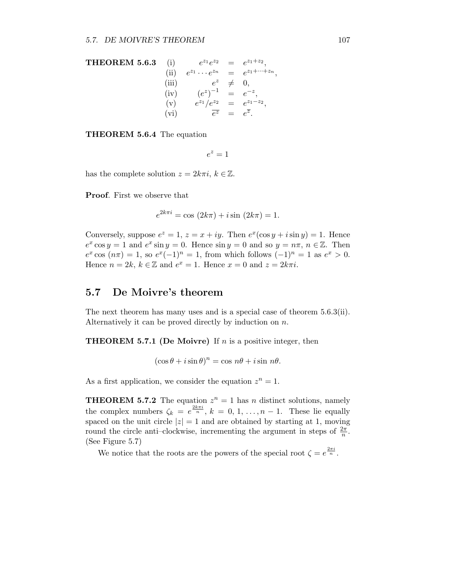**THEOREM 5.6.3** (i) 
$$
e^{z_1}e^{z_2} = e^{z_1+z_2}
$$
,  
\n(ii)  $e^{z_1} \cdots e^{z_n} = e^{z_1+\cdots+z_n}$ ,  
\n(iii)  $e^z \neq 0$ ,  
\n(iv)  $(e^z)^{-1} = e^{-z}$ ,  
\n(v)  $e^{z_1}/e^{z_2} = e^{z_1-z_2}$ ,  
\n(vi)  $\overline{e^z} = e^{\overline{z}}$ .

THEOREM 5.6.4 The equation

 $e^z=1$ 

has the complete solution  $z = 2k\pi i$ ,  $k \in \mathbb{Z}$ .

Proof. First we observe that

$$
e^{2k\pi i} = \cos(2k\pi) + i\sin(2k\pi) = 1.
$$

Conversely, suppose  $e^z = 1$ ,  $z = x + iy$ . Then  $e^x(\cos y + i \sin y) = 1$ . Hence  $e^x \cos y = 1$  and  $e^x \sin y = 0$ . Hence  $\sin y = 0$  and so  $y = n\pi$ ,  $n \in \mathbb{Z}$ . Then  $e^x \cos(n\pi) = 1$ , so  $e^x(-1)^n = 1$ , from which follows  $(-1)^n = 1$  as  $e^x > 0$ . Hence  $n = 2k, k \in \mathbb{Z}$  and  $e^x = 1$ . Hence  $x = 0$  and  $z = 2k\pi i$ .

## 5.7 De Moivre's theorem

The next theorem has many uses and is a special case of theorem 5.6.3(ii). Alternatively it can be proved directly by induction on n.

**THEOREM 5.7.1 (De Moivre)** If  $n$  is a positive integer, then

$$
(\cos \theta + i \sin \theta)^n = \cos n\theta + i \sin n\theta.
$$

As a first application, we consider the equation  $z^n = 1$ .

**THEOREM 5.7.2** The equation  $z^n = 1$  has n distinct solutions, namely the complex numbers  $\zeta_k = e^{\frac{2k\pi i}{n}}, k = 0, 1, ..., n-1$ . These lie equally spaced on the unit circle  $|z|=1$  and are obtained by starting at 1, moving round the circle anti-clockwise, incrementing the argument in steps of  $\frac{2\pi}{n}$ . (See Figure 5.7)

We notice that the roots are the powers of the special root  $\zeta = e^{\frac{2\pi i}{n}}$ .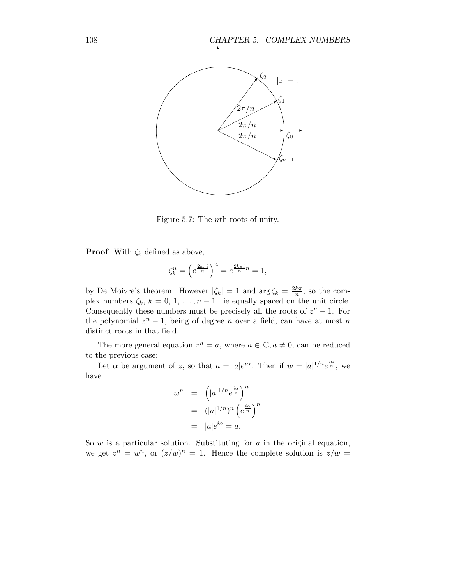

Figure 5.7: The nth roots of unity.

**Proof.** With  $\zeta_k$  defined as above,

$$
\zeta_k^n = \left(e^{\frac{2k\pi i}{n}}\right)^n = e^{\frac{2k\pi i}{n}n} = 1,
$$

by De Moivre's theorem. However  $|\zeta_k| = 1$  and  $\arg \zeta_k = \frac{2k\pi}{n}$  $\frac{k\pi}{n}$ , so the complex numbers  $\zeta_k$ ,  $k = 0, 1, \ldots, n-1$ , lie equally spaced on the unit circle. Consequently these numbers must be precisely all the roots of  $z^n - 1$ . For the polynomial  $z^n - 1$ , being of degree n over a field, can have at most n distinct roots in that field.

The more general equation  $z^n = a$ , where  $a \in \mathcal{C}$ ,  $a \neq 0$ , can be reduced to the previous case:

Let  $\alpha$  be argument of z, so that  $a = |a|e^{i\alpha}$ . Then if  $w = |a|^{1/n}e^{\frac{i\alpha}{n}}$ , we have

$$
w^{n} = (|a|^{1/n}e^{\frac{i\alpha}{n}})^{n}
$$
  
=  $(|a|^{1/n})^{n} (e^{\frac{i\alpha}{n}})^{n}$   
=  $|a|e^{i\alpha} = a.$ 

So  $w$  is a particular solution. Substituting for  $a$  in the original equation, we get  $z^n = w^n$ , or  $(z/w)^n = 1$ . Hence the complete solution is  $z/w =$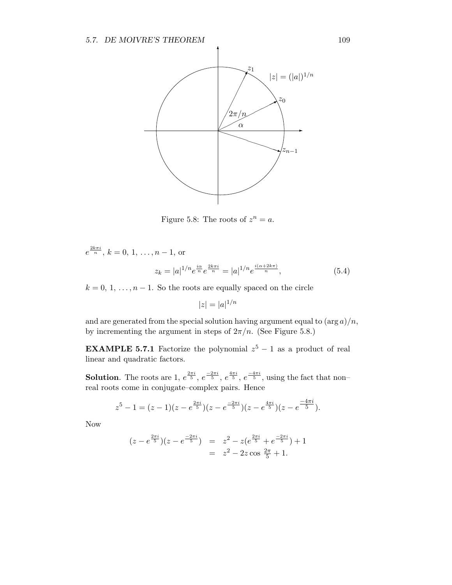

Figure 5.8: The roots of  $z^n = a$ .

$$
e^{\frac{2k\pi i}{n}}
$$
,  $k = 0, 1, ..., n - 1$ , or  

$$
z_k = |a|^{1/n} e^{\frac{i\alpha}{n}} e^{\frac{2k\pi i}{n}} = |a|^{1/n} e^{\frac{i(\alpha + 2k\pi)}{n}},
$$
(5.4)

 $k = 0, 1, \ldots, n - 1$ . So the roots are equally spaced on the circle

 $|z| = |a|^{1/n}$ 

and are generated from the special solution having argument equal to  $(\arg a)/n$ , by incrementing the argument in steps of  $2\pi/n$ . (See Figure 5.8.)

**EXAMPLE 5.7.1** Factorize the polynomial  $z^5 - 1$  as a product of real linear and quadratic factors.

**Solution**. The roots are 1,  $e^{\frac{2\pi i}{5}}$ ,  $e^{\frac{-2\pi i}{5}}$ ,  $e^{\frac{4\pi i}{5}}$ ,  $e^{\frac{-4\pi i}{5}}$ , using the fact that nonreal roots come in conjugate–complex pairs. Hence

$$
z^{5}-1=(z-1)(z-e^{\frac{2\pi i}{5}})(z-e^{\frac{-2\pi i}{5}})(z-e^{\frac{4\pi i}{5}})(z-e^{\frac{-4\pi i}{5}}).
$$

Now

$$
(z - e^{\frac{2\pi i}{5}})(z - e^{\frac{-2\pi i}{5}}) = z^2 - z(e^{\frac{2\pi i}{5}} + e^{\frac{-2\pi i}{5}}) + 1
$$
  
=  $z^2 - 2z \cos \frac{2\pi}{5} + 1.$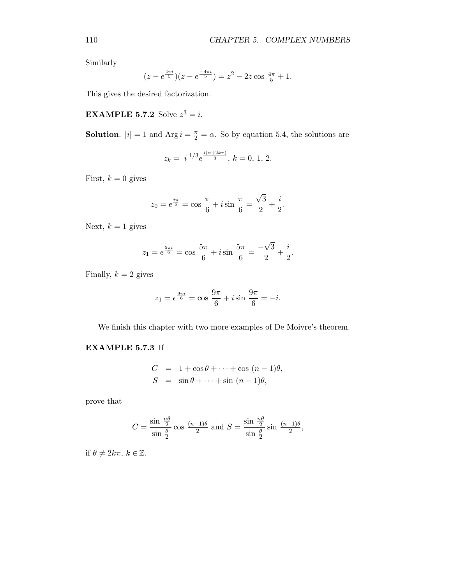Similarly

$$
(z - e^{\frac{4\pi i}{5}})(z - e^{\frac{-4\pi i}{5}}) = z^2 - 2z \cos \frac{4\pi}{5} + 1.
$$

This gives the desired factorization.

**EXAMPLE 5.7.2** Solve  $z^3 = i$ .

**Solution.**  $|i| = 1$  and  $\text{Arg } i = \frac{\pi}{2} = \alpha$ . So by equation 5.4, the solutions are

$$
z_k = |i|^{1/3} e^{\frac{i(\alpha + 2k\pi)}{3}}, k = 0, 1, 2.
$$

First,  $k = 0$  gives

$$
z_0 = e^{\frac{i\pi}{6}} = \cos\frac{\pi}{6} + i\sin\frac{\pi}{6} = \frac{\sqrt{3}}{2} + \frac{i}{2}.
$$

Next,  $k = 1$  gives

$$
z_1 = e^{\frac{5\pi i}{6}} = \cos \frac{5\pi}{6} + i \sin \frac{5\pi}{6} = \frac{-\sqrt{3}}{2} + \frac{i}{2}.
$$

Finally,  $k = 2$  gives

$$
z_1 = e^{\frac{9\pi i}{6}} = \cos \frac{9\pi}{6} + i \sin \frac{9\pi}{6} = -i.
$$

We finish this chapter with two more examples of De Moivre's theorem.

#### EXAMPLE 5.7.3 If

$$
C = 1 + \cos \theta + \dots + \cos (n - 1)\theta,
$$
  
\n
$$
S = \sin \theta + \dots + \sin (n - 1)\theta,
$$

prove that

$$
C = \frac{\sin \frac{n\theta}{2}}{\sin \frac{\theta}{2}} \cos \frac{(n-1)\theta}{2} \text{ and } S = \frac{\sin \frac{n\theta}{2}}{\sin \frac{\theta}{2}} \sin \frac{(n-1)\theta}{2},
$$

if  $\theta \neq 2k\pi$ ,  $k \in \mathbb{Z}$ .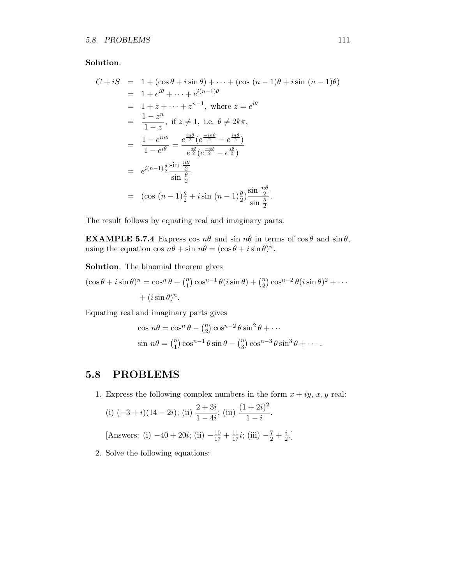#### Solution.

$$
C + iS = 1 + (\cos \theta + i \sin \theta) + \dots + (\cos (n - 1)\theta + i \sin (n - 1)\theta)
$$
  
= 1 + e<sup>i\theta</sup> + \dots + e<sup>i(n-1)\theta</sup>  
= 1 + z + \dots + z<sup>n-1</sup>, where  $z = e^{i\theta}$   
=  $\frac{1 - z^n}{1 - z}$ , if  $z \neq 1$ , i.e.  $\theta \neq 2k\pi$ ,  
=  $\frac{1 - e^{in\theta}}{1 - e^{i\theta}} = \frac{e^{\frac{in\theta}{2}}(e^{\frac{-in\theta}{2}} - e^{\frac{in\theta}{2}})}{e^{\frac{i\theta}{2}}(e^{\frac{-i\theta}{2}} - e^{\frac{i\theta}{2}})}$   
=  $e^{i(n-1)\frac{\theta}{2}} \frac{\sin \frac{n\theta}{2}}{\sin \frac{\theta}{2}}$   
=  $(\cos (n - 1)\frac{\theta}{2} + i \sin (n - 1)\frac{\theta}{2}) \frac{\sin \frac{n\theta}{2}}{\sin \frac{\theta}{2}}$ .

The result follows by equating real and imaginary parts.

**EXAMPLE 5.7.4** Express cos  $n\theta$  and sin  $n\theta$  in terms of  $\cos \theta$  and  $\sin \theta$ , using the equation  $\cos n\theta + \sin n\theta = (\cos \theta + i \sin \theta)^n$ .

Solution. The binomial theorem gives

$$
(\cos \theta + i \sin \theta)^n = \cos^n \theta + {n \choose 1} \cos^{n-1} \theta (i \sin \theta) + {n \choose 2} \cos^{n-2} \theta (i \sin \theta)^2 + \cdots
$$

$$
+ (i \sin \theta)^n.
$$

Equating real and imaginary parts gives

$$
\cos n\theta = \cos^n \theta - {n \choose 2} \cos^{n-2} \theta \sin^2 \theta + \cdots
$$
  

$$
\sin n\theta = {n \choose 1} \cos^{n-1} \theta \sin \theta - {n \choose 3} \cos^{n-3} \theta \sin^3 \theta + \cdots
$$

## 5.8 PROBLEMS

1. Express the following complex numbers in the form  $x + iy$ ,  $x, y$  real:

(i) 
$$
(-3+i)(14-2i)
$$
; (ii)  $\frac{2+3i}{1-4i}$ ; (iii)  $\frac{(1+2i)^2}{1-i}$ .

[Answers: (i)  $-40 + 20i$ ; (ii)  $-\frac{10}{17} + \frac{11}{17}i$ ; (iii)  $-\frac{7}{2} + \frac{i}{2}$  $\frac{\imath}{2}$ .

2. Solve the following equations: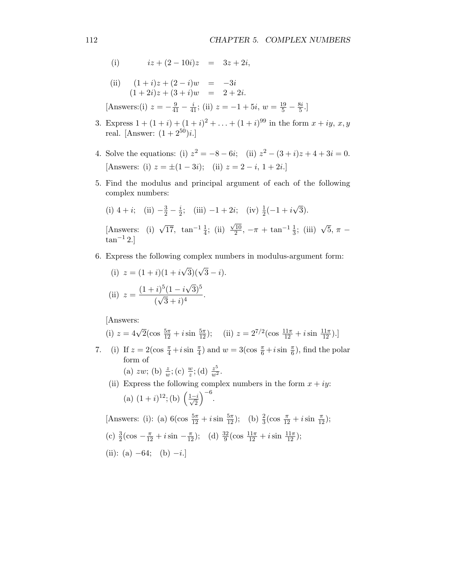(i) 
$$
iz + (2 - 10i)z = 3z + 2i
$$
,

(ii) 
$$
(1+i)z + (2-i)w = -3i
$$
  
\n $(1+2i)z + (3+i)w = 2+2i.$   
\n[Answers: (i)  $z = -\frac{9}{41} - \frac{i}{41}$ ; (ii)  $z = -1 + 5i$ ,  $w = \frac{19}{5} - \frac{8i}{5}$ .]

- 3. Express  $1 + (1 + i) + (1 + i)^2 + \ldots + (1 + i)^{99}$  in the form  $x + iy, x, y$ real. [Answer:  $(1 + 2^{50})i$ .]
- 4. Solve the equations: (i)  $z^2 = -8 6i$ ; (ii)  $z^2 (3 + i)z + 4 + 3i = 0$ . [Answers: (i)  $z = \pm (1 - 3i);$  (ii)  $z = 2 - i, 1 + 2i.$ ]
- 5. Find the modulus and principal argument of each of the following complex numbers:

(i) 
$$
4 + i
$$
; (ii)  $-\frac{3}{2} - \frac{i}{2}$ ; (iii)  $-1 + 2i$ ; (iv)  $\frac{1}{2}(-1 + i\sqrt{3})$ .  
\n[Answers: (i)  $\sqrt{17}$ ,  $\tan^{-1}\frac{1}{4}$ ; (ii)  $\frac{\sqrt{10}}{2}$ ,  $-\pi + \tan^{-1}\frac{1}{3}$ ; (iii)  $\sqrt{5}$ ,  $\pi - \tan^{-1}2$ .]

6. Express the following complex numbers in modulus-argument form:

(i) 
$$
z = (1+i)(1+i\sqrt{3})(\sqrt{3}-i).
$$
  
\n(ii)  $z = \frac{(1+i)^5(1-i\sqrt{3})^5}{(\sqrt{3}+i)^4}.$ 

[Answers:

(i) 
$$
z = 4\sqrt{2}(\cos \frac{5\pi}{12} + i \sin \frac{5\pi}{12});
$$
 (ii)  $z = 2^{7/2}(\cos \frac{11\pi}{12} + i \sin \frac{11\pi}{12}).$ 

7. (i) If  $z = 2(\cos \frac{\pi}{4} + i \sin \frac{\pi}{4})$  and  $w = 3(\cos \frac{\pi}{6} + i \sin \frac{\pi}{6})$ , find the polar form of (a) zw; (b)  $\frac{z}{w}$ ; (c)  $\frac{w}{z}$ ; (d)  $\frac{z^5}{w^2}$ .

(ii) Express the following complex numbers in the form 
$$
x + iy
$$
:  
\n(a)  $(1 + i)^{12}$ ; (b)  $\left(\frac{1-i}{\sqrt{2}}\right)^{-6}$ .

[Answers: (i): (a)  $6(\cos \frac{5\pi}{12} + i \sin \frac{5\pi}{12});$  (b)  $\frac{2}{3}(\cos \frac{\pi}{12} + i \sin \frac{\pi}{12});$ 

(c)  $\frac{3}{2}(\cos - \frac{\pi}{12} + i \sin - \frac{\pi}{12});$  (d)  $\frac{32}{9}(\cos \frac{11\pi}{12} + i \sin \frac{11\pi}{12});$  $(ii)$ ; (a)  $64$ ; (b)  $i$ ]

(ii): (a) 
$$
-64
$$
; (b)  $-i$ .]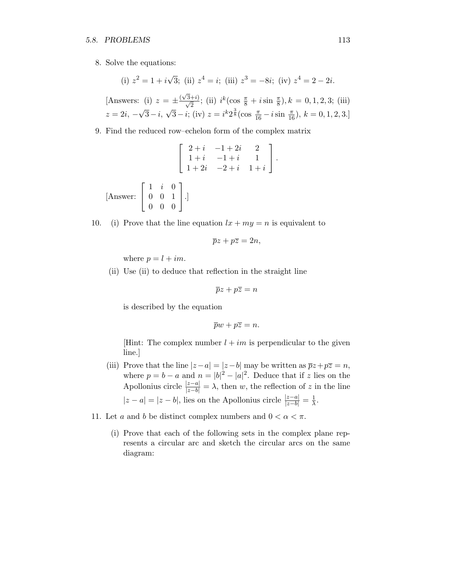#### 5.8. PROBLEMS 113

8. Solve the equations:

(i) 
$$
z^2 = 1 + i\sqrt{3}
$$
; (ii)  $z^4 = i$ ; (iii)  $z^3 = -8i$ ; (iv)  $z^4 = 2 - 2i$ .  
\n[Answers: (i)  $z = \pm \frac{(\sqrt{3}+i)}{\sqrt{2}}$ ; (ii)  $i^k(\cos \frac{\pi}{8} + i \sin \frac{\pi}{8}), k = 0, 1, 2, 3$ ; (iii)  
\n $z = 2i, -\sqrt{3} - i, \sqrt{3} - i$ ; (iv)  $z = i^k 2^{\frac{3}{8}}(\cos \frac{\pi}{16} - i \sin \frac{\pi}{16}), k = 0, 1, 2, 3$ .]

9. Find the reduced row–echelon form of the complex matrix

$$
\begin{bmatrix} 2+i & -1+2i & 2 \\ 1+i & -1+i & 1 \\ 1+2i & -2+i & 1+i \end{bmatrix}.
$$
  
[Answer: 
$$
\begin{bmatrix} 1 & i & 0 \\ 0 & 0 & 1 \\ 0 & 0 & 0 \end{bmatrix}
$$
.]

10. (i) Prove that the line equation  $lx + my = n$  is equivalent to

$$
\overline{p}z + p\overline{z} = 2n,
$$

where  $p = l + im$ .

(ii) Use (ii) to deduce that reflection in the straight line

$$
\overline{p}z + p\overline{z} = n
$$

is described by the equation

$$
\overline{p}w + p\overline{z} = n.
$$

[Hint: The complex number  $l + im$  is perpendicular to the given line.]

- (iii) Prove that the line  $|z-a|=|z-b|$  may be written as  $\overline{p}z+p\overline{z}=n$ , where  $p = b - a$  and  $n = |b|^2 - |a|^2$ . Deduce that if z lies on the Apollonius circle  $\frac{|z-a|}{|z-b|} = \lambda$ , then w, the reflection of z in the line  $|z - a| = |z - b|$ , lies on the Apollonius circle  $\frac{|z - a|}{|z - b|} = \frac{1}{\lambda}$  $\frac{1}{\lambda}$ .
- 11. Let a and b be distinct complex numbers and  $0 < \alpha < \pi$ .
	- (i) Prove that each of the following sets in the complex plane represents a circular arc and sketch the circular arcs on the same diagram: